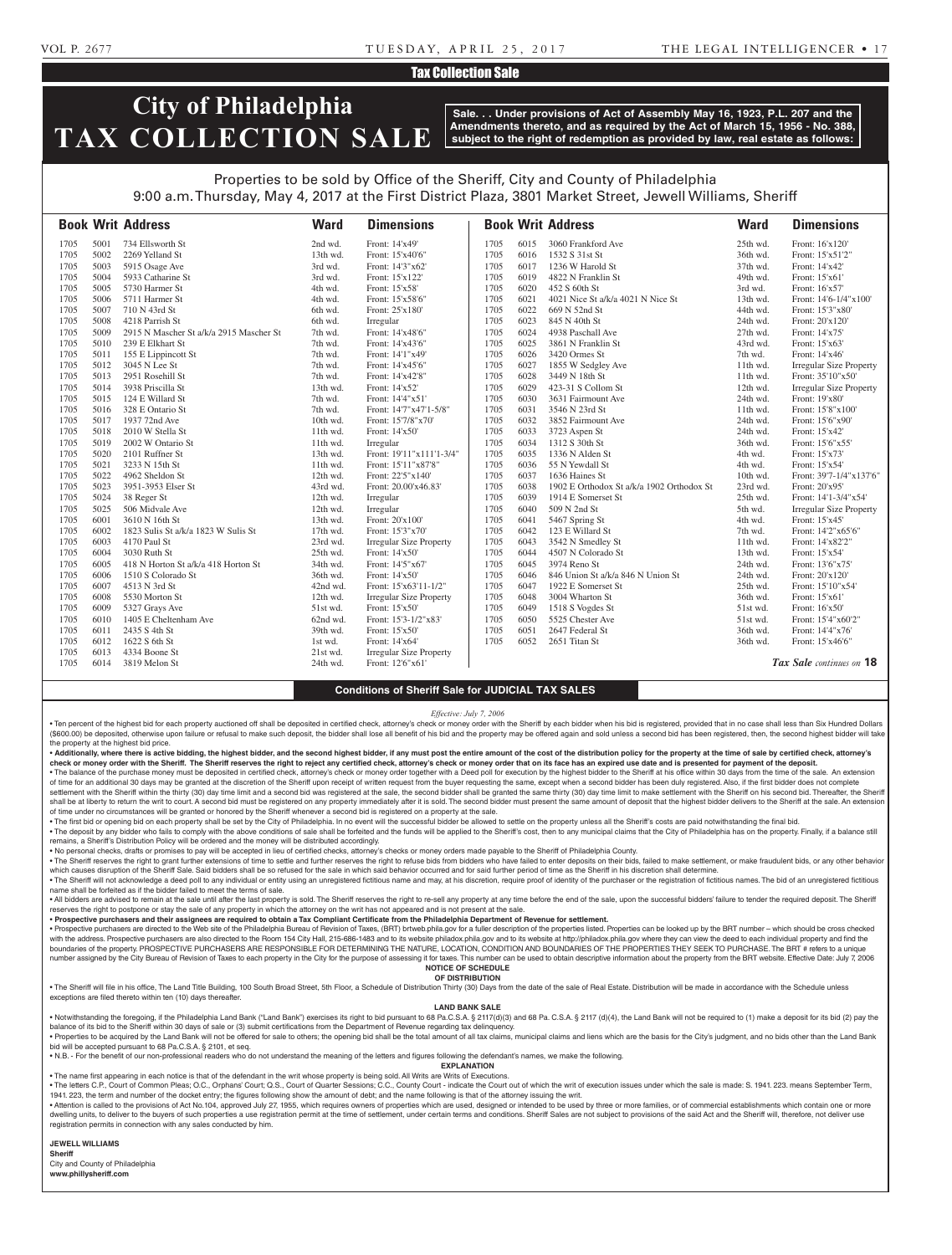## VOL P. 2677 T U E S DAY, A P R I L 2 5 , 2 0 1 7 THE LEGAL INTELLIGENCER • 1 7

## Tax Collection Sale

# **City of Philadelphia TAX COLLECTION SALE**

**Sale. . . Under provisions of Act of Assembly May 16, 1923, P.L. 207 and the Amendments thereto, and as required by the Act of March 15, 1956 - No. 388, subject to the right of redemption as provided by law, real estate as follows:**

# Properties to be sold by Office of the Sheriff, City and County of Philadelphia 9:00 a.m. Thursday, May 4, 2017 at the First District Plaza, 3801 Market Street, Jewell Williams, Sheriff

|      |      | <b>Book Writ Address</b>                | <b>Ward</b> | <b>Dimensions</b>              |      |      | <b>Book Writ Address</b>                  | <b>Ward</b> | <b>Dimensions</b>              |
|------|------|-----------------------------------------|-------------|--------------------------------|------|------|-------------------------------------------|-------------|--------------------------------|
| 1705 | 5001 | 734 Ellsworth St                        | 2nd wd.     | Front: 14'x49'                 | 1705 | 6015 | 3060 Frankford Ave                        | 25th wd.    | Front: 16'x120'                |
| 1705 | 5002 | 2269 Yelland St                         | 13th wd.    | Front: 15'x40'6"               | 1705 | 6016 | 1532 S 31st St                            | 36th wd.    | Front: 15'x51'2"               |
| 1705 | 5003 | 5915 Osage Ave                          | 3rd wd.     | Front: 14'3"x62'               | 1705 | 6017 | 1236 W Harold St                          | 37th wd.    | Front: 14'x42'                 |
| 1705 | 5004 | 5933 Catharine St                       | 3rd wd.     | Front: 15'x122'                | 1705 | 6019 | 4822 N Franklin St                        | 49th wd.    | Front: 15'x61                  |
| 1705 | 5005 | 5730 Harmer St                          | 4th wd.     | Front: 15'x58'                 | 1705 | 6020 | 452 S 60th St                             | 3rd wd.     | Front: 16'x57'                 |
| 1705 | 5006 | 5711 Harmer St                          | 4th wd.     | Front: 15'x58'6"               | 1705 | 6021 | 4021 Nice St a/k/a 4021 N Nice St         | 13th wd.    | Front: 14'6-1/4"x100'          |
| 1705 | 5007 | 710 N 43rd St                           | 6th wd.     | Front: 25'x180'                | 1705 | 6022 | 669 N 52nd St                             | 44th wd.    | Front: 15'3"x80'               |
| 1705 | 5008 | 4218 Parrish St                         | 6th wd.     | Irregular                      | 1705 | 6023 | 845 N 40th St                             | 24th wd.    | Front: 20'x120'                |
| 1705 | 5009 | 2915 N Mascher St a/k/a 2915 Mascher St | 7th wd.     | Front: 14'x48'6"               | 1705 | 6024 | 4938 Paschall Ave                         | 27th wd.    | Front: 14'x75'                 |
| 1705 | 5010 | 239 E Elkhart St                        | 7th wd.     | Front: 14'x43'6"               | 1705 | 6025 | 3861 N Franklin St                        | 43rd wd.    | Front: 15'x63'                 |
| 1705 | 5011 | 155 E Lippincott St                     | 7th wd.     | Front: 14'1"x49'               | 1705 | 6026 | 3420 Ormes St                             | 7th wd.     | Front: 14'x46'                 |
| 1705 | 5012 | 3045 N Lee St                           | 7th wd.     | Front: 14'x45'6"               | 1705 | 6027 | 1855 W Sedgley Ave                        | 11th wd.    | <b>Irregular Size Property</b> |
| 1705 | 5013 | 2951 Rosehill St                        | 7th wd.     | Front: 14'x42'8"               | 1705 | 6028 | 3449 N 18th St                            | $11th$ wd.  | Front: 35'10"x50'              |
| 1705 | 5014 | 3938 Priscilla St                       | 13th wd.    | Front: 14'x52'                 | 1705 | 6029 | 423-31 S Collom St                        | 12th wd.    | <b>Irregular Size Property</b> |
| 1705 | 5015 | 124 E Willard St                        | 7th wd.     | Front: 14'4"x51'               | 1705 | 6030 | 3631 Fairmount Ave                        | 24th wd.    | Front: 19'x80'                 |
| 1705 | 5016 | 328 E Ontario St                        | 7th wd.     | Front: 14'7"x47'1-5/8"         | 1705 | 6031 | 3546 N 23rd St                            | 11th wd.    | Front: 15'8"x100"              |
| 1705 | 5017 | 1937 72nd Ave                           | 10th wd.    | Front: 15'7/8"x70"             | 1705 | 6032 | 3852 Fairmount Ave                        | 24th wd.    | Front: 15'6"x90'               |
| 1705 | 5018 | 2010 W Stella St                        | 11th wd.    | Front: 14'x50'                 | 1705 | 6033 | 3723 Aspen St                             | 24th wd.    | Front: 15'x42'                 |
| 1705 | 5019 | 2002 W Ontario St                       | 11th wd.    | Irregular                      | 1705 | 6034 | 1312 S 30th St                            | 36th wd.    | Front: 15'6"x55"               |
| 1705 | 5020 | 2101 Ruffner St                         | 13th wd.    | Front: 19'11"x111'1-3/4"       | 1705 | 6035 | 1336 N Alden St                           | 4th wd.     | Front: 15'x73'                 |
| 1705 | 5021 | 3233 N 15th St                          | 11th wd.    | Front: 15'11"x87'8"            | 1705 | 6036 | 55 N Yewdall St                           | 4th wd.     | Front: 15'x54'                 |
| 1705 | 5022 | 4962 Sheldon St                         | 12th wd.    | Front: 22'5"x140"              | 1705 | 6037 | 1636 Haines St                            | 10th wd.    | Front: 39'7-1/4"x137'6"        |
| 1705 | 5023 | 3951-3953 Elser St                      | 43rd wd.    | Front: 20.00'x46.83'           | 1705 | 6038 | 1902 E Orthodox St a/k/a 1902 Orthodox St | 23rd wd.    | Front: 20'x95'                 |
| 1705 | 5024 | 38 Reger St                             | 12th wd.    | Irregular                      | 1705 | 6039 | 1914 E Somerset St                        | 25th wd.    | Front: 14'1-3/4"x54'           |
| 1705 | 5025 | 506 Midvale Ave                         | 12th wd.    | Irregular                      | 1705 | 6040 | 509 N 2nd St                              | 5th wd.     | <b>Irregular Size Property</b> |
| 1705 | 6001 | 3610 N 16th St                          | 13th wd.    | Front: 20'x100'                | 1705 | 6041 | 5467 Spring St                            | 4th wd.     | Front: 15'x45'                 |
| 1705 | 6002 | 1823 Sulis St a/k/a 1823 W Sulis St     | 17th wd.    | Front: 15'3"x70"               | 1705 | 6042 | 123 E Willard St                          | 7th wd.     | Front: 14'2"x65'6"             |
| 1705 | 6003 | 4170 Paul St                            | 23rd wd.    | <b>Irregular Size Property</b> | 1705 | 6043 | 3542 N Smedley St                         | $11th$ wd.  | Front: 14'x82'2"               |
| 1705 | 6004 | 3030 Ruth St                            | 25th wd.    | Front: 14'x50'                 | 1705 | 6044 | 4507 N Colorado St                        | 13th wd.    | Front: 15'x54'                 |
| 1705 | 6005 | 418 N Horton St a/k/a 418 Horton St     | 34th wd.    | Front: 14'5"x67'               | 1705 | 6045 | 3974 Reno St                              | 24th wd.    | Front: 13'6"x75"               |
| 1705 | 6006 | 1510 S Colorado St                      | 36th wd.    | Front: 14'x50'                 | 1705 | 6046 | 846 Union St a/k/a 846 N Union St         | 24th wd.    | Front: 20'x120'                |
| 1705 | 6007 | 4513 N 3rd St                           | 42nd wd.    | Front: 15'x63'11-1/2"          | 1705 | 6047 | 1922 E Somerset St                        | 25th wd.    | Front: 15'10"x54'              |
| 1705 | 6008 | 5530 Morton St                          | 12th wd.    | <b>Irregular Size Property</b> | 1705 | 6048 | 3004 Wharton St                           | 36th wd.    | Front: 15'x61                  |
| 1705 | 6009 | 5327 Grays Ave                          | 51st wd.    | Front: 15'x50'                 | 1705 | 6049 | 1518 S Vogdes St                          | 51st wd.    | Front: 16'x50'                 |
| 1705 | 6010 | 1405 E Cheltenham Ave                   | 62nd wd.    | Front: 15'3-1/2"x83'           | 1705 | 6050 | 5525 Chester Ave                          | 51st wd.    | Front: 15'4"x60'2"             |
| 1705 | 6011 | 2435 S 4th St                           | 39th wd.    | Front: 15'x50'                 | 1705 | 6051 | 2647 Federal St                           | 36th wd.    | Front: 14'4"x76'               |
| 1705 | 6012 | 1622 S 6th St                           | 1st wd.     | Front: 14'x64'                 | 1705 | 6052 | 2651 Titan St                             | 36th wd.    | Front: 15'x46'6'               |
| 1705 | 6013 | 4334 Boone St                           | 21st wd.    | <b>Irregular Size Property</b> |      |      |                                           |             |                                |
| 1705 | 6014 | 3819 Melon St                           | 24th wd.    | Front: 12'6"x61'               |      |      |                                           |             | Tax Sale continues on 18       |

### **Conditions of Sheriff Sale for JUDICIAL TAX SALES**

*Effective: July 7, 2006*

· Ten percent of the highest bid for each property auctioned off shall be deposited in certified check, attorney's check or money order with the Sheriff by each bidder when his bid is registered, provided that in no case s (\$600.00) be deposited, otherwise upon failure or refusal to make such deposit, the bidder shall lose all benefit of his bid and the property may be offered again and sold unless a second bid has been registered, then, the the property at the highest bid price.

. Additionally, where there is active bidding, the highest bidder, and the second highest bidder, if any must post the entire amount of the cost of the distribution policy for the property at the time of sale by certified check or money order with the Sheriff. The Sheriff reserves the right to reject any certified check, attorney's check or money order that on its face has an expired use date and is presented for payment of the deposit.

. The balance of the purchase money must be deposited in certified check, attorney's check or money order together with a Deed poll for execution by the highest bidder to the Sheriff at his office within 30 days from the t of time for an additional 30 days may be granted at the discretion of the Sheriff upon receipt of written request from the buyer requesting the same, except when a second bidder has been duly registered. Also, if the first settlement with the Sheriff within the thirty (30) day time limit and a second bid was registered at the sale, the second bidder shall be granted the same thirty (30) day time limit to make settlement with the Sheriff on h

shall be at liberty to return the writ to court. A second bid must be registered on any property immediately after it is sold. The second bidder must present the same amount of deposit that the highest bidder delivers to t of time under no circumstances will be granted or honored by the Sheriff whenever a second bid is registered on a property at the sale.

. The first bid or opening bid on each property shall be set by the City of Philadelphia. In no event will the successful bidder be allowed to settle on the property unless all the Sheriff's costs are paid notwithstanding . The deposit by any bidder who fails to comply with the above conditions of sale shall be forfeited and the funds will be applied to the Sheriff's cost, then to any municipal claims that the City of Philadelphia has on th remains, a Sheriff's Distribution Policy will be ordered and the money will be distributed accordingly.

• No personal checks, drafts or promises to pay will be accepted in lieu of certified checks, attorney's checks or money orders made payable to the Sheriff of Philadelphia County.

. The Sheriff reserves the right to grant further extensions of time to settle and further reserves the right to refuse bids from bidders who have failed to enter deposits on their bids, failed to make settlement, or make which causes disruption of the Sheriff Sale. Said bidders shall be so refused for the sale in which said behavior occurred and for said further period of time as the Sheriff in his discretion shall determine. . The Sheriff will not acknowledge a deed poll to any individual or entity using an unregistered fictitious name and may, at his discretion, require proof of identity of the purchaser or the registration of fictitious name

name shall be forfeited as if the bidder failed to meet the terms of sale. . All bidders are advised to remain at the sale until after the last property is sold. The Sheriff reserves the right to re-sell any property at any time before the end of the sale, upon the successful bidders' failure to reserves the right to postpone or stay the sale of any property in which the attorney on the writ has not appeared and is not present at the sale.

• **Prospective purchasers and their assignees are required to obtain a Tax Compliant Certificate from the Philadelphia Department of Revenue for settlement.**

. Prospective purchasers are directed to the Web site of the Philadelphia Bureau of Revision of Taxes, (BRT) brtweb.phila.gov for a fuller description of the properties listed. Properties can be looked up by the BRT number with the address. Prospective purchasers are also directed to the Room 154 City Hall, 215-686-1483 and to its website philadox.phila.gov and to its website at http://philadox.phila.gov where they can view the deed to each boundaries of the property. PROSPECTIVE PURCHASERS ARE RESPONSIBLE FOR DETERMINING THE NATURE, LOCATION, CONDITION AND BOUNDARIES OF THE PROPERTIES THEY SEEK TO PURCHASE. The BRT # refers to a unique number assigned by the City Bureau of Revision of Taxes to each property in the City for the purpose of assessing it for taxes. This number can be used to obtain descriptive information about the property from the BRT webs **NOTICE OF SCHEDULE**

#### **OF DISTRIBUTION**

. The Sheriff will file in his office, The Land Title Building, 100 South Broad Street, 5th Floor, a Schedule of Distribution Thirty (30) Days from the date of the sale of Real Estate. Distribution will be made in accordan exceptions are filed thereto within ten (10) days thereafter.

### **LAND BANK SALE**

. Notwithstanding the foregoing, if the Philadelphia Land Bank ("Land Bank") exercises its right to bid pursuant to 68 Pa.C.S.A. § 2117(d)(3) and 68 Pa.C.S.A. § 2117 (d)(4), the Land Bank will not be required to (1) make a balance of its bid to the Sheriff within 30 days of sale or (3) submit certifications from the Department of Revenue regarding tax delinquency.

. Properties to be acquired by the Land Bank will not be offered for sale to others; the opening bid shall be the total amount of all tax claims, municipal claims and liens which are the basis for the City's judgment, and bid will be accepted pursuant to 68 Pa.C.S.A. § 2101, et seq.

• N.B. - For the benefit of our non-professional readers who do not understand the meaning of the letters and figures following the defendant's names, we make the following.

**EXPLANATION**  • The name first appearing in each notice is that of the defendant in the writ whose property is being sold. All Writs are Writs of Executions.

. The letters C.P., Court of Common Pleas; O.C., Orphans' Court; Q.S., Court of Quarter Sessions; C.C., County Court - indicate the Court out of which the writ of execution issues under which the sale is made: S. 1941. 223 1941. 223, the term and number of the docket entry; the figures following show the amount of debt; and the name following is that of the attorney issuing the writ.

. Attention is called to the provisions of Act No.104, approved July 27, 1955, which requires owners of properties which are used, designed or intended to be used by three or more families, or of commercial establishments dwelling units, to deliver to the buyers of such properties a use registration permit at the time of settlement, under certain terms and conditions. Sheriff Sales are not subject to provisions of the said Act and the Sheri registration permits in connection with any sales conducted by him.

#### **JEWELL WILLIAMS**

**Sheriff**  City and County of Philadelphia **www.phillysheriff.com**